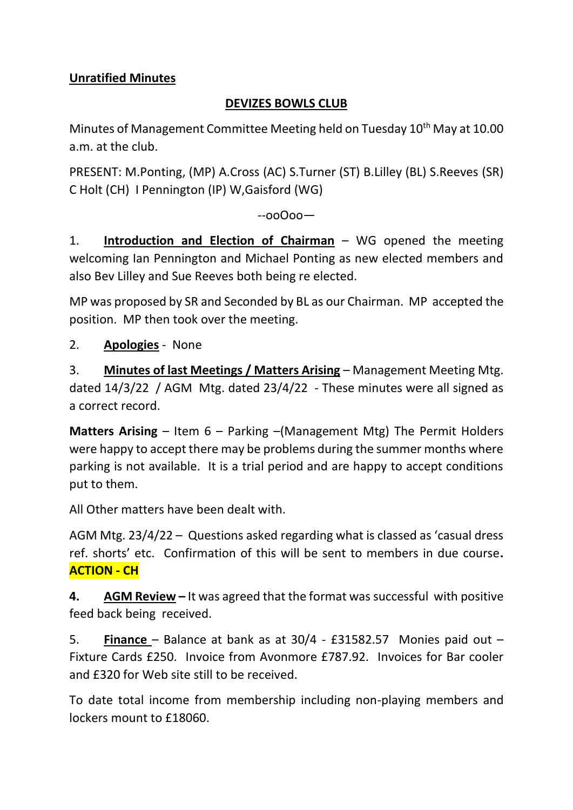## **Unratified Minutes**

## **DEVIZES BOWLS CLUB**

Minutes of Management Committee Meeting held on Tuesday 10<sup>th</sup> May at 10.00 a.m. at the club.

PRESENT: M.Ponting, (MP) A.Cross (AC) S.Turner (ST) B.Lilley (BL) S.Reeves (SR) C Holt (CH) I Pennington (IP) W,Gaisford (WG)

--ooOoo—

1. **Introduction and Election of Chairman** – WG opened the meeting welcoming Ian Pennington and Michael Ponting as new elected members and also Bev Lilley and Sue Reeves both being re elected.

MP was proposed by SR and Seconded by BL as our Chairman. MP accepted the position. MP then took over the meeting.

2. **Apologies** - None

3. **Minutes of last Meetings / Matters Arising** – Management Meeting Mtg. dated 14/3/22 / AGM Mtg. dated 23/4/22 - These minutes were all signed as a correct record.

**Matters Arising** – Item 6 – Parking –(Management Mtg) The Permit Holders were happy to accept there may be problems during the summer months where parking is not available. It is a trial period and are happy to accept conditions put to them.

All Other matters have been dealt with.

AGM Mtg. 23/4/22 – Questions asked regarding what is classed as 'casual dress ref. shorts' etc. Confirmation of this will be sent to members in due course**. ACTION - CH** 

**4. AGM Review –** It was agreed that the format was successful with positive feed back being received.

5. **Finance** – Balance at bank as at 30/4 - £31582.57 Monies paid out – Fixture Cards £250. Invoice from Avonmore £787.92. Invoices for Bar cooler and £320 for Web site still to be received.

To date total income from membership including non-playing members and lockers mount to £18060.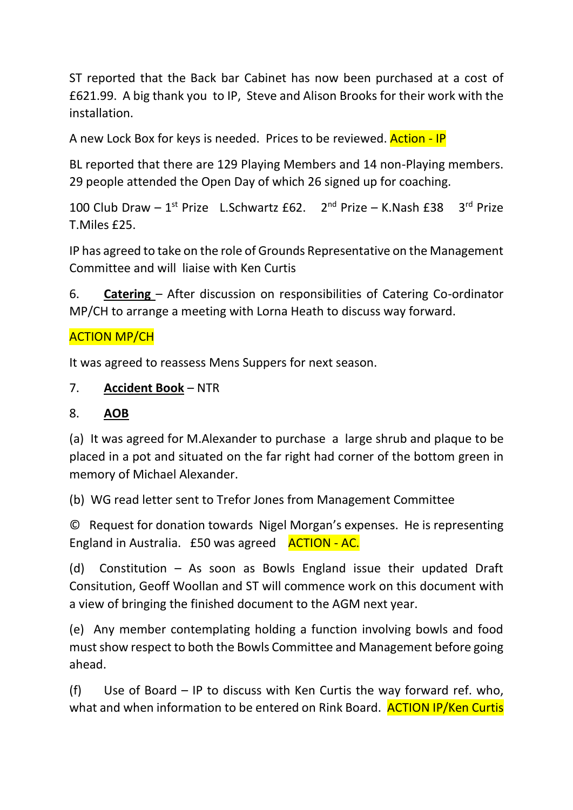ST reported that the Back bar Cabinet has now been purchased at a cost of £621.99. A big thank you to IP, Steve and Alison Brooks for their work with the installation.

A new Lock Box for keys is needed. Prices to be reviewed. Action - IP

BL reported that there are 129 Playing Members and 14 non-Playing members. 29 people attended the Open Day of which 26 signed up for coaching.

100 Club Draw  $-1^{st}$  Prize L.Schwartz £62.  $2^{nd}$  Prize  $-$  K.Nash £38 3 3rd Prize T.Miles £25.

IP has agreed to take on the role of Grounds Representative on the Management Committee and will liaise with Ken Curtis

6. **Catering** – After discussion on responsibilities of Catering Co-ordinator MP/CH to arrange a meeting with Lorna Heath to discuss way forward.

# ACTION MP/CH

It was agreed to reassess Mens Suppers for next season.

### 7. **Accident Book** – NTR

#### 8. **AOB**

(a) It was agreed for M.Alexander to purchase a large shrub and plaque to be placed in a pot and situated on the far right had corner of the bottom green in memory of Michael Alexander.

(b) WG read letter sent to Trefor Jones from Management Committee

© Request for donation towards Nigel Morgan's expenses. He is representing England in Australia. £50 was agreed ACTION - AC.

(d) Constitution – As soon as Bowls England issue their updated Draft Consitution, Geoff Woollan and ST will commence work on this document with a view of bringing the finished document to the AGM next year.

(e) Any member contemplating holding a function involving bowls and food must show respect to both the Bowls Committee and Management before going ahead.

(f) Use of Board – IP to discuss with Ken Curtis the way forward ref. who, what and when information to be entered on Rink Board. **ACTION IP/Ken Curtis**